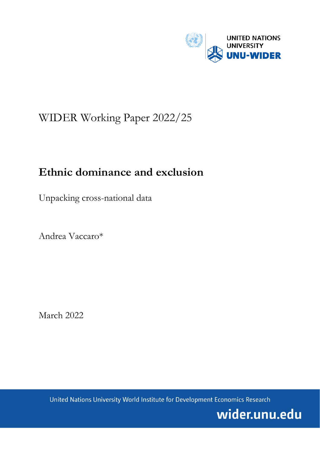

# WIDER Working Paper 2022/25

# **Ethnic dominance and exclusion**

Unpacking cross-national data

Andrea Vaccaro\*

March 2022

United Nations University World Institute for Development Economics Research

wider.unu.edu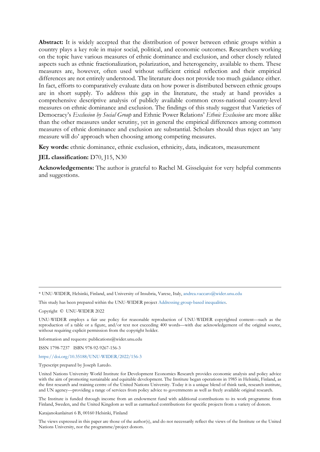**Abstract:** It is widely accepted that the distribution of power between ethnic groups within a country plays a key role in major social, political, and economic outcomes. Researchers working on the topic have various measures of ethnic dominance and exclusion, and other closely related aspects such as ethnic fractionalization, polarization, and heterogeneity, available to them. These measures are, however, often used without sufficient critical reflection and their empirical differences are not entirely understood. The literature does not provide too much guidance either. In fact, efforts to comparatively evaluate data on how power is distributed between ethnic groups are in short supply. To address this gap in the literature, the study at hand provides a comprehensive descriptive analysis of publicly available common cross-national country-level measures on ethnic dominance and exclusion. The findings of this study suggest that Varieties of Democracy's *Exclusion by Social Group* and Ethnic Power Relations' *Ethnic Exclusion* are more alike than the other measures under scrutiny, yet in general the empirical differences among common measures of ethnic dominance and exclusion are substantial. Scholars should thus reject an 'any measure will do' approach when choosing among competing measures.

**Key words:** ethnic dominance, ethnic exclusion, ethnicity, data, indicators, measurement

### **JEL classification:** D70, J15, N30

**Acknowledgements:** The author is grateful to Rachel M. Gisselquist for very helpful comments and suggestions.

\* UNU-WIDER, Helsinki, Finland, and University of Insubria, Varese, Italy, [andrea.vaccaro@wider.unu.edu](mailto:andrea.vaccaro@wider.unu.edu)

This study has been prepared within the UNU-WIDER projec[t Addressing group-based inequalities.](https://www.wider.unu.edu/node/237111)

Copyright © UNU-WIDER 2022

UNU-WIDER employs a fair use policy for reasonable reproduction of UNU-WIDER copyrighted content—such as the reproduction of a table or a figure, and/or text not exceeding 400 words—with due acknowledgement of the original source, without requiring explicit permission from the copyright holder.

Information and requests: publications@wider.unu.edu

ISSN 1798-7237 ISBN 978-92-9267-156-3

## <https://doi.org/10.35188/UNU-WIDER/2022/156-3>

Typescript prepared by Joseph Laredo.

United Nations University World Institute for Development Economics Research provides economic analysis and policy advice with the aim of promoting sustainable and equitable development. The Institute began operations in 1985 in Helsinki, Finland, as the first research and training centre of the United Nations University. Today it is a unique blend of think tank, research institute, and UN agency—providing a range of services from policy advice to governments as well as freely available original research.

The Institute is funded through income from an endowment fund with additional contributions to its work programme from Finland, Sweden, and the United Kingdom as well as earmarked contributions for specific projects from a variety of donors.

Katajanokanlaituri 6 B, 00160 Helsinki, Finland

The views expressed in this paper are those of the author(s), and do not necessarily reflect the views of the Institute or the United Nations University, nor the programme/project donors.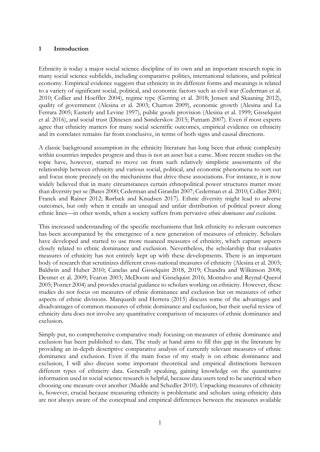# **1 Introduction**

Ethnicity is today a major social science discipline of its own and an important research topic in many social science subfields, including comparative politics, international relations, and political economy. Empirical evidence suggests that ethnicity in its different forms and meanings is related to a variety of significant social, political, and economic factors such as civil war (Cederman et al. 2010; Collier and Hoeffler 2004), regime type (Gerring et al. 2018; Jensen and Skaaning 2012), quality of government (Alesina et al. 2003; Charron 2009), economic growth (Alesina and La Ferrara 2005; Easterly and Levine 1997), public goods provision (Alesina et al. 1999; Gisselquist et al. 2016), and social trust (Dinesen and Sønderskov 2015; Putnam 2007). Even if most experts agree that ethnicity matters for many social scientific outcomes, empirical evidence on ethnicity and its correlates remains far from conclusive, in terms of both signs and causal directions.

A classic background assumption in the ethnicity literature has long been that ethnic complexity within countries impedes progress and thus is not an asset but a curse. More recent studies on the topic have, however, started to move on from such relatively simplistic assessments of the relationship between ethnicity and various social, political, and economic phenomena to sort out and focus more precisely on the mechanisms that drive these associations. For instance, it is now widely believed that in many circumstances certain ethnopolitical power structures matter more than diversity per se (Bates 2000; Cederman and Girardin 2007; Cederman et al. 2010; Collier 2001; Franck and Rainer 2012; Rørbæk and Knudsen 2017). Ethnic diversity might lead to adverse outcomes, but only when it entails an unequal and unfair distribution of political power along ethnic lines—in other words, when a society suffers from pervasive *ethnic dominance and exclusion*.

This increased understanding of the specific mechanisms that link ethnicity to relevant outcomes has been accompanied by the emergence of a new generation of measures of ethnicity. Scholars have developed and started to use more nuanced measures of ethnicity, which capture aspects closely related to ethnic dominance and exclusion. Nevertheless, the scholarship that evaluates measures of ethnicity has not entirely kept up with these developments. There is an important body of research that scrutinizes different cross-national measures of ethnicity (Alesina et al. 2003; Baldwin and Huber 2010; Canelas and Gisselquist 2018, 2019; Chandra and Wilkinson 2008; Desmet et al. 2009; Fearon 2003; McDoom and Gisselquist 2016; Montalvo and Reynal-Querol 2005; Posner 2004) and provides crucial guidance to scholars working on ethnicity. However, these studies do not focus on measures of ethnic dominance and exclusion but on measures of other aspects of ethnic divisions. Marquardt and Herrera (2015) discuss some of the advantages and disadvantages of common measures of ethnic dominance and exclusion, but their useful review of ethnicity data does not involve any quantitative comparison of measures of ethnic dominance and exclusion.

Simply put, no comprehensive comparative study focusing on measures of ethnic dominance and exclusion has been published to date. The study at hand aims to fill this gap in the literature by providing an in-depth descriptive comparative analysis of currently relevant measures of ethnic dominance and exclusion. Even if the main focus of my study is on ethnic dominance and exclusion, I will also discuss some important theoretical and empirical distinctions between different types of ethnicity data. Generally speaking, gaining knowledge on the quantitative information used in social science research is helpful, because data users tend to be uncritical when choosing one measure over another (Mudde and Schedler 2010). Unpacking measures of ethnicity is, however, crucial because measuring ethnicity is problematic and scholars using ethnicity data are not always aware of the conceptual and empirical differences between the measures available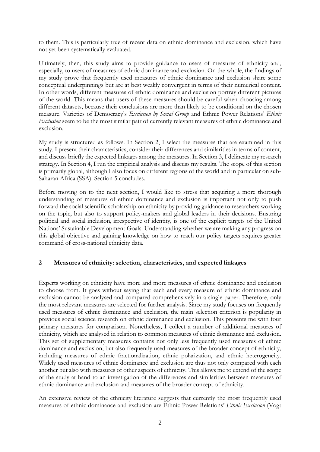to them. This is particularly true of recent data on ethnic dominance and exclusion, which have not yet been systematically evaluated.

Ultimately, then, this study aims to provide guidance to users of measures of ethnicity and, especially, to users of measures of ethnic dominance and exclusion. On the whole, the findings of my study prove that frequently used measures of ethnic dominance and exclusion share some conceptual underpinnings but are at best weakly convergent in terms of their numerical content. In other words, different measures of ethnic dominance and exclusion portray different pictures of the world. This means that users of these measures should be careful when choosing among different datasets, because their conclusions are more than likely to be conditional on the chosen measure. Varieties of Democracy's *Exclusion by Social Group* and Ethnic Power Relations' *Ethnic Exclusion* seem to be the most similar pair of currently relevant measures of ethnic dominance and exclusion.

My study is structured as follows. In Section 2, I select the measures that are examined in this study. I present their characteristics, consider their differences and similarities in terms of content, and discuss briefly the expected linkages among the measures. In Section 3, I delineate my research strategy. In Section 4, I run the empirical analysis and discuss my results. The scope of this section is primarily global, although I also focus on different regions of the world and in particular on sub-Saharan Africa (SSA). Section 5 concludes.

Before moving on to the next section, I would like to stress that acquiring a more thorough understanding of measures of ethnic dominance and exclusion is important not only to push forward the social scientific scholarship on ethnicity by providing guidance to researchers working on the topic, but also to support policy-makers and global leaders in their decisions. Ensuring political and social inclusion, irrespective of identity, is one of the explicit targets of the United Nations' Sustainable Development Goals. Understanding whether we are making any progress on this global objective and gaining knowledge on how to reach our policy targets requires greater command of cross-national ethnicity data.

# **2 Measures of ethnicity: selection, characteristics, and expected linkages**

Experts working on ethnicity have more and more measures of ethnic dominance and exclusion to choose from. It goes without saying that each and every measure of ethnic dominance and exclusion cannot be analysed and compared comprehensively in a single paper. Therefore, only the most relevant measures are selected for further analysis. Since my study focuses on frequently used measures of ethnic dominance and exclusion, the main selection criterion is popularity in previous social science research on ethnic dominance and exclusion. This presents me with four primary measures for comparison. Nonetheless, I collect a number of additional measures of ethnicity, which are analysed in relation to common measures of ethnic dominance and exclusion. This set of supplementary measures contains not only less frequently used measures of ethnic dominance and exclusion, but also frequently used measures of the broader concept of ethnicity, including measures of ethnic fractionalization, ethnic polarization, and ethnic heterogeneity. Widely used measures of ethnic dominance and exclusion are thus not only compared with each another but also with measures of other aspects of ethnicity. This allows me to extend of the scope of the study at hand to an investigation of the differences and similarities between measures of ethnic dominance and exclusion and measures of the broader concept of ethnicity.

An extensive review of the ethnicity literature suggests that currently the most frequently used measures of ethnic dominance and exclusion are Ethnic Power Relations' *Ethnic Exclusion* (Vogt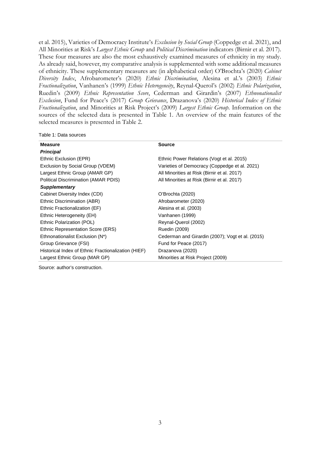et al. 2015), Varieties of Democracy Institute's *Exclusion by Social Group* (Coppedge et al. 2021), and All Minorities at Risk's *Largest Ethnic Group* and *Political Discrimination* indicators (Birnir et al. 2017). These four measures are also the most exhaustively examined measures of ethnicity in my study. As already said, however, my comparative analysis is supplemented with some additional measures of ethnicity. These supplementary measures are (in alphabetical order) O'Brochta's (2020) *Cabinet Diversity Index*, Afrobarometer's (2020) *Ethnic Discrimination*, Alesina et al.'s (2003) *Ethnic Fractionalization*, Vanhanen's (1999) *Ethnic Heterogeneity*, Reynal-Querol's (2002) *Ethnic Polarization*, Ruedin's (2009) *Ethnic Representation Score*, Cederman and Girardin's (2007) *Ethnonationalist Exclusion*, Fund for Peace's (2017) *Group Grievance*, Drazanova's (2020) *Historical Index of Ethnic Fractionalization*, and Minorities at Risk Project's (2009) *Largest Ethnic Group*. Information on the sources of the selected data is presented in Table 1. An overview of the main features of the selected measures is presented in Table 2.

#### Table 1: Data sources

| <b>Measure</b>                                      | <b>Source</b>                                    |
|-----------------------------------------------------|--------------------------------------------------|
| <b>Principal</b>                                    |                                                  |
| Ethnic Exclusion (EPR)                              | Ethnic Power Relations (Vogt et al. 2015)        |
| Exclusion by Social Group (VDEM)                    | Varieties of Democracy (Coppedge et al. 2021)    |
| Largest Ethnic Group (AMAR GP)                      | All Minorities at Risk (Birnir et al. 2017)      |
| Political Discrimination (AMAR PDIS)                | All Minorities at Risk (Birnir et al. 2017)      |
| <b>Supplementary</b>                                |                                                  |
| Cabinet Diversity Index (CDI)                       | O'Brochta (2020)                                 |
| Ethnic Discrimination (ABR)                         | Afrobarometer (2020)                             |
| Ethnic Fractionalization (EF)                       | Alesina et al. (2003)                            |
| Ethnic Heterogeneity (EH)                           | Vanhanen (1999)                                  |
| Ethnic Polarization (POL)                           | Reynal-Querol (2002)                             |
| Ethnic Representation Score (ERS)                   | Ruedin (2009)                                    |
| Ethnonationalist Exclusion (N*)                     | Cederman and Girardin (2007); Vogt et al. (2015) |
| Group Grievance (FSI)                               | Fund for Peace (2017)                            |
| Historical Index of Ethnic Fractionalization (HIEF) | Drazanova (2020)                                 |
| Largest Ethnic Group (MAR GP)                       | Minorities at Risk Project (2009)                |
|                                                     |                                                  |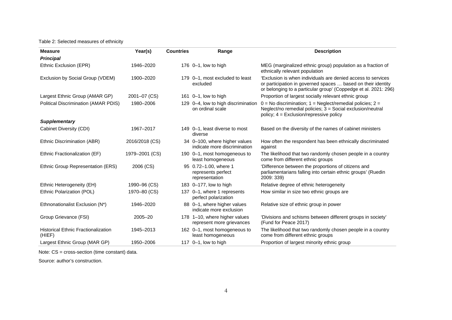## Table 2: Selected measures of ethnicity

| <b>Measure</b>                                       | Year(s)        | <b>Countries</b> | Range                                                         | <b>Description</b>                                                                                                                                                                              |
|------------------------------------------------------|----------------|------------------|---------------------------------------------------------------|-------------------------------------------------------------------------------------------------------------------------------------------------------------------------------------------------|
| <b>Principal</b>                                     |                |                  |                                                               |                                                                                                                                                                                                 |
| Ethnic Exclusion (EPR)                               | 1946-2020      |                  | 176 $0-1$ , low to high                                       | MEG (marginalized ethnic group) population as a fraction of<br>ethnically relevant population                                                                                                   |
| Exclusion by Social Group (VDEM)                     | 1900-2020      |                  | 179 0-1, most excluded to least<br>excluded                   | 'Exclusion is when individuals are denied access to services<br>or participation in governed spaces  based on their identity<br>or belonging to a particular group' (Coppedge et al. 2021: 296) |
| Largest Ethnic Group (AMAR GP)                       | 2001-07 (CS)   |                  | 161 $0-1$ , low to high                                       | Proportion of largest socially relevant ethnic group                                                                                                                                            |
| Political Discrimination (AMAR PDIS)                 | 1980-2006      |                  | 129 0-4, low to high discrimination<br>on ordinal scale       | $0 = No$ discrimination; $1 = Neglect/remedial$ policies; $2 =$<br>Neglect/no remedial policies; 3 = Social exclusion/neutral<br>policy; $4 = Exclusion/repressive policy$                      |
| <b>Supplementary</b>                                 |                |                  |                                                               |                                                                                                                                                                                                 |
| Cabinet Diversity (CDI)                              | 1967-2017      |                  | 149 0-1, least diverse to most<br>diverse                     | Based on the diversity of the names of cabinet ministers                                                                                                                                        |
| Ethnic Discrimination (ABR)                          | 2016/2018 (CS) |                  | 34 0-100, where higher values<br>indicate more discrimination | How often the respondent has been ethnically discriminated<br>against                                                                                                                           |
| Ethnic Fractionalization (EF)                        | 1979-2001 (CS) |                  | 190 0-1, most homogeneous to<br>least homogeneous             | The likelihood that two randomly chosen people in a country<br>come from different ethnic groups                                                                                                |
| Ethnic Group Representation (ERS)                    | 2006 (CS)      |                  | 95 0.72-1.00, where 1<br>represents perfect<br>representation | 'Difference between the proportions of citizens and<br>parliamentarians falling into certain ethnic groups' (Ruedin<br>2009: 339)                                                               |
| Ethnic Heterogeneity (EH)                            | 1990-96 (CS)   |                  | 183 0-177, low to high                                        | Relative degree of ethnic heterogeneity                                                                                                                                                         |
| Ethnic Polarization (POL)                            | 1970-80 (CS)   |                  | 137 0-1, where 1 represents<br>perfect polarization           | How similar in size two ethnic groups are                                                                                                                                                       |
| Ethnonationalist Exclusion (N*)                      | 1946-2020      |                  | 88 0-1, where higher values<br>indicate more exclusion        | Relative size of ethnic group in power                                                                                                                                                          |
| Group Grievance (FSI)                                | $2005 - 20$    |                  | 178 1-10, where higher values<br>represent more grievances    | 'Divisions and schisms between different groups in society'<br>(Fund for Peace 2017)                                                                                                            |
| <b>Historical Ethnic Fractionalization</b><br>(HIEF) | 1945-2013      |                  | 162 0-1, most homogeneous to<br>least homogeneous             | The likelihood that two randomly chosen people in a country<br>come from different ethnic groups                                                                                                |
| Largest Ethnic Group (MAR GP)                        | 1950-2006      |                  | 117 $0-1$ , low to high                                       | Proportion of largest minority ethnic group                                                                                                                                                     |

Note: CS = cross-section (time constant) data.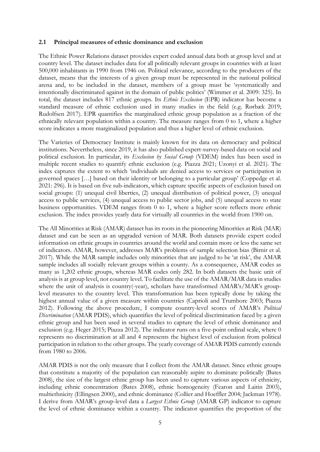## **2.1 Principal measures of ethnic dominance and exclusion**

The Ethnic Power Relations dataset provides expert coded annual data both at group level and at country level. The dataset includes data for all politically relevant groups in countries with at least 500,000 inhabitants in 1990 from 1946 on. Political relevance, according to the producers of the dataset, means that the interests of a given group must be represented in the national political arena and, to be included in the dataset, members of a group must be 'systematically and intentionally discriminated against in the domain of public politics' (Wimmer et al. 2009: 325). In total, the dataset includes 817 ethnic groups. Its *Ethnic Exclusion* (EPR) indicator has become a standard measure of ethnic exclusion used in many studies in the field (e.g. Rørbæk 2019; Rudolfsen 2017). EPR quantifies the marginalized ethnic group population as a fraction of the ethnically relevant population within a country. The measure ranges from 0 to 1, where a higher score indicates a more marginalized population and thus a higher level of ethnic exclusion.

The Varieties of Democracy Institute is mainly known for its data on democracy and political institutions. Nevertheless, since 2019, it has also published expert-survey-based data on social and political exclusion. In particular, its *Exclusion by Social Group* (VDEM) index has been used in multiple recent studies to quantify ethnic exclusion (e.g. Piazza 2021; Uzonyi et al. 2021). The index captures the extent to which 'individuals are denied access to services or participation in governed spaces […] based on their identity or belonging to a particular group' (Coppedge et al. 2021: 296). It is based on five sub-indicators, which capture specific aspects of exclusion based on social groups: (1) unequal civil liberties, (2) unequal distribution of political power, (3) unequal access to public services, (4) unequal access to public sector jobs, and (5) unequal access to state business opportunities. VDEM ranges from 0 to 1, where a higher score reflects more ethnic exclusion. The index provides yearly data for virtually all countries in the world from 1900 on.

The All Minorities at Risk (AMAR) dataset has its roots in the pioneering Minorities at Risk (MAR) dataset and can be seen as an upgraded version of MAR. Both datasets provide expert coded information on ethnic groups in countries around the world and contain more or less the same set of indicators. AMAR, however, addresses MAR's problems of sample selection bias (Birnir et al. 2017). While the MAR sample includes only minorities that are judged to be 'at risk', the AMAR sample includes all socially relevant groups within a county. As a consequence, AMAR codes as many as 1,202 ethnic groups, whereas MAR codes only 282. In both datasets the basic unit of analysis is at group level, not country level. To facilitate the use of the AMAR/MAR data in studies where the unit of analysis is country(-year), scholars have transformed AMAR's/MAR's grouplevel measures to the country level. This transformation has been typically done by taking the highest annual value of a given measure within countries (Caprioli and Trumbore 2003; Piazza 2012). Following the above procedure, I compute country-level scores of AMAR's *Political Discrimination* (AMAR PDIS), which quantifies the level of political discrimination faced by a given ethnic group and has been used in several studies to capture the level of ethnic dominance and exclusion (e.g. Heger 2015; Piazza 2012). The indicator runs on a five-point ordinal scale, where 0 represents no discrimination at all and 4 represents the highest level of exclusion from political participation in relation to the other groups. The yearly coverage of AMAR PDIS currently extends from 1980 to 2006.

AMAR PDIS is not the only measure that I collect from the AMAR dataset. Since ethnic groups that constitute a majority of the population can reasonably aspire to dominate politically (Bates 2008), the size of the largest ethnic group has been used to capture various aspects of ethnicity, including ethnic concentration (Bates 2008), ethnic homogeneity (Fearon and Laitin 2003), multiethnicity (Ellingsen 2000), and ethnic dominance (Collier and Hoeffler 2004; Jackman 1978). I derive from AMAR's group-level data a *Largest Ethnic Group* (AMAR GP) indicator to capture the level of ethnic dominance within a country. The indicator quantifies the proportion of the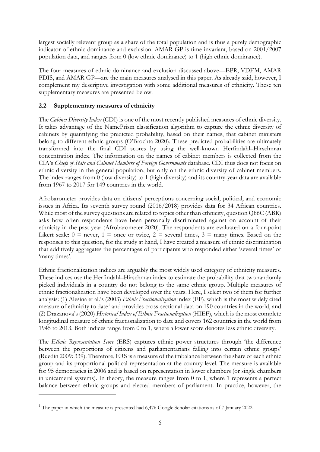largest socially relevant group as a share of the total population and is thus a purely demographic indicator of ethnic dominance and exclusion. AMAR GP is time-invariant, based on 2001/2007 population data, and ranges from 0 (low ethnic dominance) to 1 (high ethnic dominance).

The four measures of ethnic dominance and exclusion discussed above—EPR, VDEM, AMAR PDIS, and AMAR GP—are the main measures analysed in this paper. As already said, however, I complement my descriptive investigation with some additional measures of ethnicity. These ten supplementary measures are presented below.

# **2.2 Supplementary measures of ethnicity**

The *Cabinet Diversity Index* (CDI) is one of the most recently published measures of ethnic diversity. It takes advantage of the NamePrism classification algorithm to capture the ethnic diversity of cabinets by quantifying the predicted probability, based on their names, that cabinet ministers belong to different ethnic groups (O'Brochta 2020). These predicted probabilities are ultimately transformed into the final CDI scores by using the well-known Herfindahl–Hirschman concentration index. The information on the names of cabinet members is collected from the CIA's *Chiefs of State and Cabinet Members of Foreign Governments* database. CDI thus does not focus on ethnic diversity in the general population, but only on the ethnic diversity of cabinet members. The index ranges from 0 (low diversity) to 1 (high diversity) and its country-year data are available from 1967 to 2017 for 149 countries in the world.

Afrobarometer provides data on citizens' perceptions concerning social, political, and economic issues in Africa. Its seventh survey round (2016/2018) provides data for 34 African countries. While most of the survey questions are related to topics other than ethnicity, question Q86C (ABR) asks how often respondents have been personally discriminated against on account of their ethnicity in the past year (Afrobarometer 2020). The respondents are evaluated on a four-point Likert scale:  $0 =$  never,  $1 =$  once or twice,  $2 =$  several times,  $3 =$  many times. Based on the responses to this question, for the study at hand, I have created a measure of ethnic discrimination that additively aggregates the percentages of participants who responded either 'several times' or 'many times'.

Ethnic fractionalization indices are arguably the most widely used category of ethnicity measures. These indices use the Herfindahl–Hirschman index to estimate the probability that two randomly picked individuals in a country do not belong to the same ethnic group. Multiple measures of ethnic fractionalization have been developed over the years. Here, I select two of them for further analysis: (1) Alesina et al.'s (2003) *Ethnic Fractionalization* index (EF), which is the most widely cited measure of ethnicity to date<sup>[1](#page-7-0)</sup> and provides cross-sectional data on 190 countries in the world, and (2) Drazanova's (2020) *Historical Index of Ethnic Fractionalization* (HIEF), which is the most complete longitudinal measure of ethnic fractionalization to date and covers 162 countries in the world from 1945 to 2013. Both indices range from 0 to 1, where a lower score denotes less ethnic diversity.

The *Ethnic Representation Score* (ERS) captures ethnic power structures through 'the difference between the proportions of citizens and parliamentarians falling into certain ethnic groups' (Ruedin 2009: 339). Therefore, ERS is a measure of the imbalance between the share of each ethnic group and its proportional political representation at the country level. The measure is available for 95 democracies in 2006 and is based on representation in lower chambers (or single chambers in unicameral systems). In theory, the measure ranges from 0 to 1, where 1 represents a perfect balance between ethnic groups and elected members of parliament. In practice, however, the

<span id="page-7-0"></span> $1$ <sup>1</sup> The paper in which the measure is presented had 6,476 Google Scholar citations as of 7 January 2022.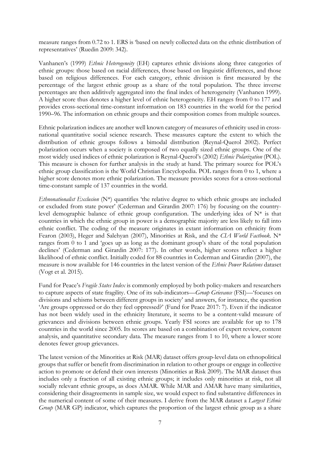measure ranges from 0.72 to 1. ERS is 'based on newly collected data on the ethnic distribution of representatives' (Ruedin 2009: 342).

Vanhanen's (1999) *Ethnic Heterogeneity* (EH) captures ethnic divisions along three categories of ethnic groups: those based on racial differences, those based on linguistic differences, and those based on religious differences. For each category, ethnic division is first measured by the percentage of the largest ethnic group as a share of the total population. The three inverse percentages are then additively aggregated into the final index of heterogeneity (Vanhanen 1999). A higher score thus denotes a higher level of ethnic heterogeneity. EH ranges from 0 to 177 and provides cross-sectional time-constant information on 183 countries in the world for the period 1990–96. The information on ethnic groups and their composition comes from multiple sources.

Ethnic polarization indices are another well known category of measures of ethnicity used in crossnational quantitative social science research. These measures capture the extent to which the distribution of ethnic groups follows a bimodal distribution (Reynal-Querol 2002). Perfect polarization occurs when a society is composed of two equally sized ethnic groups. One of the most widely used indices of ethnic polarization is Reynal-Querol's (2002) *Ethnic Polarization* (POL). This measure is chosen for further analysis in the study at hand. The primary source for POL's ethnic group classification is the World Christian Encyclopedia. POL ranges from 0 to 1, where a higher score denotes more ethnic polarization. The measure provides scores for a cross-sectional time-constant sample of 137 countries in the world.

*Ethnonationalist Exclusion* (N\*) quantifies 'the relative degree to which ethnic groups are included or excluded from state power' (Cederman and Girardin 2007: 176) by focusing on the countrylevel demographic balance of ethnic group configuration. The underlying idea of  $N^*$  is that countries in which the ethnic group in power is a demographic majority are less likely to fall into ethnic conflict. The coding of the measure originates in extant information on ethnicity from Fearon (2003), Heger and Salehyan (2007), Minorities at Risk, and the *CIA World Factbook*. N\* ranges from 0 to 1 and 'goes up as long as the dominant group's share of the total population declines' (Cederman and Girardin 2007: 177). In other words, higher scores reflect a higher likelihood of ethnic conflict. Initially coded for 88 countries in Cederman and Girardin (2007), the measure is now available for 146 countries in the latest version of the *Ethnic Power Relations* dataset (Vogt et al. 2015).

Fund for Peace's *Fragile States Index* is commonly employed by both policy-makers and researchers to capture aspects of state fragility. One of its sub-indicators—*Group Grievance* (FSI)—'focuses on divisions and schisms between different groups in society' and answers, for instance, the question 'Are groups oppressed or do they feel oppressed?' (Fund for Peace 2017: 7). Even if the indicator has not been widely used in the ethnicity literature, it seems to be a content-valid measure of grievances and divisions between ethnic groups. Yearly FSI scores are available for up to 178 countries in the world since 2005. Its scores are based on a combination of expert review, content analysis, and quantitative secondary data. The measure ranges from 1 to 10, where a lower score denotes fewer group grievances.

The latest version of the Minorities at Risk (MAR) dataset offers group-level data on ethnopolitical groups that suffer or benefit from discrimination in relation to other groups or engage in collective action to promote or defend their own interests (Minorities at Risk 2009). The MAR dataset thus includes only a fraction of all existing ethnic groups; it includes only minorities at risk, not all socially relevant ethnic groups, as does AMAR. While MAR and AMAR have many similarities, considering their disagreements in sample size, we would expect to find substantive differences in the numerical content of some of their measures. I derive from the MAR dataset a *Largest Ethnic Group* (MAR GP) indicator, which captures the proportion of the largest ethnic group as a share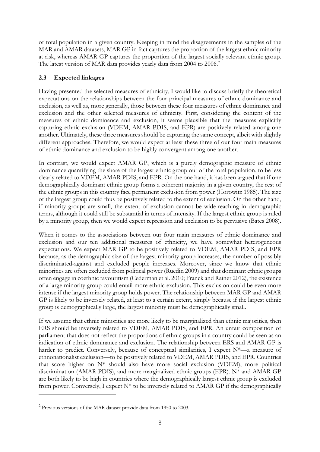of total population in a given country. Keeping in mind the disagreements in the samples of the MAR and AMAR datasets, MAR GP in fact captures the proportion of the largest ethnic minority at risk, whereas AMAR GP captures the proportion of the largest socially relevant ethnic group. The latest version of MAR data provides yearly data from [2](#page-9-0)004 to 2006.<sup>2</sup>

# **2.3 Expected linkages**

Having presented the selected measures of ethnicity, I would like to discuss briefly the theoretical expectations on the relationships between the four principal measures of ethnic dominance and exclusion, as well as, more generally, those between these four measures of ethnic dominance and exclusion and the other selected measures of ethnicity. First, considering the content of the measures of ethnic dominance and exclusion, it seems plausible that the measures explicitly capturing ethnic exclusion (VDEM, AMAR PDIS, and EPR) are positively related among one another. Ultimately, these three measures should be capturing the same concept, albeit with slightly different approaches. Therefore, we would expect at least these three of our four main measures of ethnic dominance and exclusion to be highly convergent among one another.

In contrast, we would expect AMAR GP, which is a purely demographic measure of ethnic dominance quantifying the share of the largest ethnic group out of the total population, to be less clearly related to VDEM, AMAR PDIS, and EPR. On the one hand, it has been argued that if one demographically dominant ethnic group forms a coherent majority in a given country, the rest of the ethnic groups in this country face permanent exclusion from power (Horowitz 1985). The size of the largest group could thus be positively related to the extent of exclusion. On the other hand, if minority groups are small, the extent of exclusion cannot be wide-reaching in demographic terms, although it could still be substantial in terms of intensity. If the largest ethnic group is ruled by a minority group, then we would expect repression and exclusion to be pervasive (Bates 2008).

When it comes to the associations between our four main measures of ethnic dominance and exclusion and our ten additional measures of ethnicity, we have somewhat heterogeneous expectations. We expect MAR GP to be positively related to VDEM, AMAR PDIS, and EPR because, as the demographic size of the largest minority group increases, the number of possibly discriminated-against and excluded people increases. Moreover, since we know that ethnic minorities are often excluded from political power (Ruedin 2009) and that dominant ethnic groups often engage in coethnic favouritism (Cederman et al. 2010; Franck and Rainer 2012), the existence of a large minority group could entail more ethnic exclusion. This exclusion could be even more intense if the largest minority group holds power. The relationship between MAR GP and AMAR GP is likely to be inversely related, at least to a certain extent, simply because if the largest ethnic group is demographically large, the largest minority must be demographically small.

If we assume that ethnic minorities are more likely to be marginalized than ethnic majorities, then ERS should be inversely related to VDEM, AMAR PDIS, and EPR. An unfair composition of parliament that does not reflect the proportions of ethnic groups in a country could be seen as an indication of ethnic dominance and exclusion. The relationship between ERS and AMAR GP is harder to predict. Conversely, because of conceptual similarities, I expect N\*—a measure of ethnonationalist exclusion—to be positively related to VDEM, AMAR PDIS, and EPR. Countries that score higher on N\* should also have more social exclusion (VDEM), more political discrimination (AMAR PDIS), and more marginalized ethnic groups (EPR). N\* and AMAR GP are both likely to be high in countries where the demographically largest ethnic group is excluded from power. Conversely, I expect  $N^*$  to be inversely related to AMAR GP if the demographically

<span id="page-9-0"></span><sup>2</sup> Previous versions of the MAR dataset provide data from 1950 to 2003.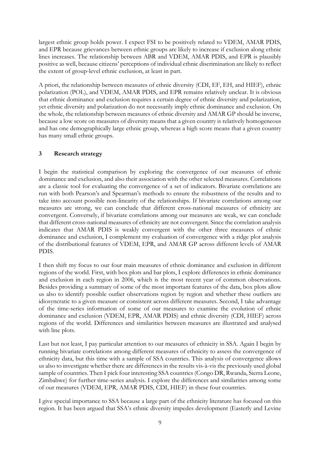largest ethnic group holds power. I expect FSI to be positively related to VDEM, AMAR PDIS, and EPR because grievances between ethnic groups are likely to increase if exclusion along ethnic lines increases. The relationship between ABR and VDEM, AMAR PDIS, and EPR is plausibly positive as well, because citizens' perceptions of individual ethnic discrimination are likely to reflect the extent of group-level ethnic exclusion, at least in part.

A priori, the relationship between measures of ethnic diversity (CDI, EF, EH, and HIEF), ethnic polarization (POL), and VDEM, AMAR PDIS, and EPR remains relatively unclear. It is obvious that ethnic dominance and exclusion requires a certain degree of ethnic diversity and polarization, yet ethnic diversity and polarization do not necessarily imply ethnic dominance and exclusion. On the whole, the relationship between measures of ethnic diversity and AMAR GP should be inverse, because a low score on measures of diversity means that a given country is relatively homogeneous and has one demographically large ethnic group, whereas a high score means that a given country has many small ethnic groups.

# **3 Research strategy**

I begin the statistical comparison by exploring the convergence of our measures of ethnic dominance and exclusion, and also their association with the other selected measures. Correlations are a classic tool for evaluating the convergence of a set of indicators. Bivariate correlations are run with both Pearson's and Spearman's methods to ensure the robustness of the results and to take into account possible non-linearity of the relationships. If bivariate correlations among our measures are strong, we can conclude that different cross-national measures of ethnicity are convergent. Conversely, if bivariate correlations among our measures are weak, we can conclude that different cross-national measures of ethnicity are not convergent. Since the correlation analysis indicates that AMAR PDIS is weakly convergent with the other three measures of ethnic dominance and exclusion, I complement my evaluation of convergence with a ridge plot analysis of the distributional features of VDEM, EPR, and AMAR GP across different levels of AMAR PDIS.

I then shift my focus to our four main measures of ethnic dominance and exclusion in different regions of the world. First, with box plots and bar plots, I explore differences in ethnic dominance and exclusion in each region in 2006, which is the most recent year of common observations. Besides providing a summary of some of the most important features of the data, box plots allow us also to identify possible outlier observations region by region and whether these outliers are idiosyncratic to a given measure or consistent across different measures. Second, I take advantage of the time-series information of some of our measures to examine the evolution of ethnic dominance and exclusion (VDEM, EPR, AMAR PDIS) and ethnic diversity (CDI, HIEF) across regions of the world. Differences and similarities between measures are illustrated and analysed with line plots.

Last but not least, I pay particular attention to our measures of ethnicity in SSA. Again I begin by running bivariate correlations among different measures of ethnicity to assess the convergence of ethnicity data, but this time with a sample of SSA countries. This analysis of convergence allows us also to investigate whether there are differences in the results vis-à-vis the previously used global sample of countries. Then I pick four interesting SSA countries (Congo DR, Rwanda, Sierra Leone, Zimbabwe) for further time-series analysis. I explore the differences and similarities among some of our measures (VDEM, EPR, AMAR PDIS, CDI, HIEF) in these four countries.

I give special importance to SSA because a large part of the ethnicity literature has focused on this region. It has been argued that SSA's ethnic diversity impedes development (Easterly and Levine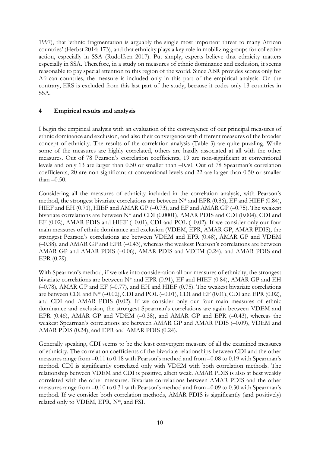1997), that 'ethnic fragmentation is arguably the single most important threat to many African countries' (Herbst 2014: 173), and that ethnicity plays a key role in mobilizing groups for collective action, especially in SSA (Rudolfsen 2017). Put simply, experts believe that ethnicity matters especially in SSA. Therefore, in a study on measures of ethnic dominance and exclusion, it seems reasonable to pay special attention to this region of the world. Since ABR provides scores only for African countries, the measure is included only in this part of the empirical analysis. On the contrary, ERS is excluded from this last part of the study, because it codes only 13 countries in SSA.

# **4 Empirical results and analysis**

I begin the empirical analysis with an evaluation of the convergence of our principal measures of ethnic dominance and exclusion, and also their convergence with different measures of the broader concept of ethnicity. The results of the correlation analysis (Table 3) are quite puzzling. While some of the measures are highly correlated, others are hardly associated at all with the other measures. Out of 78 Pearson's correlation coefficients, 19 are non-significant at conventional levels and only 13 are larger than 0.50 or smaller than –0.50. Out of 78 Spearman's correlation coefficients, 20 are non-significant at conventional levels and 22 are larger than 0.50 or smaller than  $-0.50$ .

Considering all the measures of ethnicity included in the correlation analysis, with Pearson's method, the strongest bivariate correlations are between N\* and EPR (0.86), EF and HIEF (0.84), HIEF and EH (0.71), HIEF and AMAR GP (-0.73), and EF and AMAR GP (-0.75). The weakest bivariate correlations are between N\* and CDI (0.0001), AMAR PDIS and CDI (0.004), CDI and EF  $(0.02)$ , AMAR PDIS and HIEF  $(-0.01)$ , CDI and POL  $(-0.02)$ . If we consider only our four main measures of ethnic dominance and exclusion (VDEM, EPR, AMAR GP, AMAR PDIS), the strongest Pearson's correlations are between VDEM and EPR (0.48), AMAR GP and VDEM  $(-0.38)$ , and AMAR GP and EPR  $(-0.43)$ , whereas the weakest Pearson's correlations are between AMAR GP and AMAR PDIS (-0.06), AMAR PDIS and VDEM (0.24), and AMAR PDIS and EPR (0.29).

With Spearman's method, if we take into consideration all our measures of ethnicity, the strongest bivariate correlations are between N\* and EPR (0.91), EF and HIEF (0.84), AMAR GP and EH (–0.78), AMAR GP and EF (–0.77), and EH and HIEF (0.75). The weakest bivariate correlations are between CDI and  $N^*$  (-0.02), CDI and POL (-0.01), CDI and EF (0.01), CDI and EPR (0.02), and CDI and AMAR PDIS (0.02). If we consider only our four main measures of ethnic dominance and exclusion, the strongest Spearman's correlations are again between VDEM and EPR (0.46), AMAR GP and VDEM (–0.38), and AMAR GP and EPR (–0.43), whereas the weakest Spearman's correlations are between AMAR GP and AMAR PDIS (–0.09), VDEM and AMAR PDIS (0.24), and EPR and AMAR PDIS (0.24).

Generally speaking, CDI seems to be the least convergent measure of all the examined measures of ethnicity. The correlation coefficients of the bivariate relationships between CDI and the other measures range from -0.11 to 0.18 with Pearson's method and from -0.08 to 0.19 with Spearman's method. CDI is significantly correlated only with VDEM with both correlation methods. The relationship between VDEM and CDI is positive, albeit weak. AMAR PDIS is also at best weakly correlated with the other measures. Bivariate correlations between AMAR PDIS and the other measures range from  $-0.10$  to 0.31 with Pearson's method and from  $-0.09$  to 0.30 with Spearman's method. If we consider both correlation methods, AMAR PDIS is significantly (and positively) related only to VDEM, EPR, N\*, and FSI.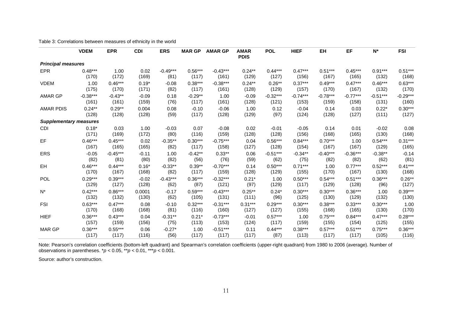|                               | <b>VDEM</b> | <b>EPR</b> | <b>CDI</b> | <b>ERS</b> | <b>MAR GP</b> | <b>AMAR GP</b> | <b>AMAR</b><br><b>PDIS</b> | <b>POL</b> | <b>HIEF</b> | EH         | EF         | $N^*$      | <b>FSI</b> |
|-------------------------------|-------------|------------|------------|------------|---------------|----------------|----------------------------|------------|-------------|------------|------------|------------|------------|
| <b>Principal measures</b>     |             |            |            |            |               |                |                            |            |             |            |            |            |            |
| <b>EPR</b>                    | $0.48***$   | 1.00       | 0.02       | $-0.49***$ | $0.56***$     | $-0.43***$     | $0.24***$                  | $0.44***$  | $0.47***$   | $0.51***$  | $0.45***$  | $0.91***$  | $0.51***$  |
|                               | (170)       | (172)      | (169)      | (81)       | (117)         | (161)          | (129)                      | (127)      | (156)       | (167)      | (165)      | (132)      | (168)      |
| <b>VDEM</b>                   | 1.00        | $0.46***$  | $0.19*$    | $-0.08$    | $0.38***$     | $-0.38***$     | $0.24***$                  | $0.26**$   | $0.37***$   | $0.49***$  | $0.47***$  | $0.46***$  | $0.63***$  |
|                               | (175)       | (170)      | (171)      | (82)       | (117)         | (161)          | (128)                      | (129)      | (157)       | (170)      | (167)      | (132)      | (170)      |
| AMAR GP                       | $-0.38***$  | $-0.43**$  | $-0.09$    | 0.18       | $-0.29**$     | 1.00           | $-0.09$                    | $-0.32***$ | $-0.74***$  | $-0.78***$ | $-0.77***$ | $-0.51***$ | $-0.29***$ |
|                               | (161)       | (161)      | (159)      | (76)       | (117)         | (161)          | (128)                      | (121)      | (153)       | (159)      | (158)      | (131)      | (160)      |
| <b>AMAR PDIS</b>              | $0.24***$   | $0.29**$   | 0.004      | 0.08       | $-0.10$       | $-0.06$        | 1.00                       | 0.12       | $-0.04$     | 0.14       | 0.03       | $0.22*$    | $0.30***$  |
|                               | (128)       | (128)      | (128)      | (59)       | (117)         | (128)          | (129)                      | (97)       | (124)       | (128)      | (127)      | (111)      | (127)      |
| <b>Supplementary measures</b> |             |            |            |            |               |                |                            |            |             |            |            |            |            |
| <b>CDI</b>                    | $0.18*$     | 0.03       | 1.00       | $-0.03$    | 0.07          | $-0.08$        | 0.02                       | $-0.01$    | $-0.05$     | 0.14       | 0.01       | $-0.02$    | 0.08       |
|                               | (171)       | (169)      | (172)      | (80)       | (116)         | (159)          | (128)                      | (128)      | (156)       | (168)      | (165)      | (130)      | (168)      |
| EF                            | $0.46***$   | $0.45***$  | 0.02       | $-0.35**$  | $0.30***$     | $-0.75***$     | 0.04                       | $0.56***$  | $0.84***$   | $0.70***$  | 1.00       | $0.54***$  | $0.31***$  |
|                               | (167)       | (165)      | (165)      | (82)       | (117)         | (158)          | (127)                      | (128)      | (154)       | (167)      | (167)      | (129)      | (165)      |
| <b>ERS</b>                    | $-0.05$     | $-0.45***$ | $-0.11$    | 1.00       | $-0.42**$     | $0.33**$       | 0.06                       | $-0.51***$ | $-0.34**$   | $-0.40***$ | $-0.36***$ | $-0.38**$  | $-0.14$    |
|                               | (82)        | (81)       | (80)       | (82)       | (56)          | (76)           | (59)                       | (62)       | (75)        | (82)       | (82)       | (62)       | (81)       |
| EH                            | $0.46***$   | $0.44***$  | $0.16*$    | $-0.33**$  | $0.39**$      | $-0.70***$     | 0.14                       | $0.50***$  | $0.71***$   | 1.00       | $0.77***$  | $0.52***$  | $0.41***$  |
|                               | (170)       | (167)      | (168)      | (82)       | (117)         | (159)          | (128)                      | (129)      | (155)       | (170)      | (167)      | (130)      | (168)      |
| POL                           | $0.29***$   | $0.39***$  | $-0.02$    | $-0.43***$ | $0.36***$     | $-0.32***$     | $0.21*$                    | 1.00       | $0.50***$   | $0.54***$  | $0.51***$  | $0.36***$  | $0.26**$   |
|                               | (129)       | (127)      | (128)      | (62)       | (87)          | (121)          | (97)                       | (129)      | (117)       | (129)      | (128)      | (96)       | (127)      |
| $N^*$                         | $0.42***$   | $0.86***$  | 0.0001     | $-0.17$    | $0.59***$     | $-0.43***$     | $0.25***$                  | $0.24*$    | $0.30***$   | $0.30***$  | $0.36***$  | 1.00       | $0.39***$  |
|                               | (132)       | (132)      | (130)      | (62)       | (105)         | (131)          | (111)                      | (96)       | (125)       | (130)      | (129)      | (132)      | (130)      |
| <b>FSI</b>                    | $0.63***$   | $0.47***$  | 0.08       | $-0.10$    | $0.32***$     | $-0.31***$     | $0.31***$                  | $0.29***$  | $0.30***$   | $0.38***$  | $0.33***$  | $0.30***$  | 1.00       |
|                               | (170)       | (168)      | (168)      | (81)       | (116)         | (160)          | (127)                      | (127)      | (155)       | (168)      | (165)      | (130)      | (170)      |
| <b>HIEF</b>                   | $0.36***$   | $0.43***$  | 0.04       | $-0.31**$  | $0.21*$       | $-0.73***$     | $-0.01$                    | $0.57***$  | 1.00        | $0.75***$  | $0.84***$  | $0.47***$  | $0.28***$  |
|                               | (157)       | (159)      | (156)      | (75)       | (113)         | (153)          | (124)                      | (117)      | (159)       | (155)      | (154)      | (125)      | (155)      |
| <b>MAR GP</b>                 | $0.36***$   | $0.55***$  | 0.06       | $-0.27*$   | 1.00          | $-0.51***$     | 0.11                       | $0.44***$  | $0.38***$   | $0.57***$  | $0.51***$  | $0.75***$  | $0.36***$  |
|                               | (117)       | (117)      | (116)      | (56)       | (117)         | (117)          | (117)                      | (87)       | (113)       | (117)      | (117)      | (105)      | (116)      |

Table 3: Correlations between measures of ethnicity in the world

Note: Pearson's correlation coefficients (bottom-left quadrant) and Spearman's correlation coefficients (upper-right quadrant) from 1980 to 2006 (average). Number of observations in parentheses. \**p* < 0.05, \*\**p* < 0.01, \*\*\**p* < 0.001.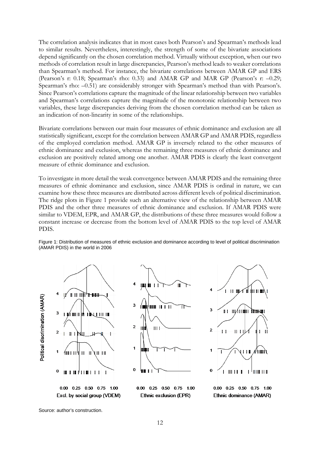The correlation analysis indicates that in most cases both Pearson's and Spearman's methods lead to similar results. Nevertheless, interestingly, the strength of some of the bivariate associations depend significantly on the chosen correlation method. Virtually without exception, when our two methods of correlation result in large discrepancies, Pearson's method leads to weaker correlations than Spearman's method. For instance, the bivariate correlations between AMAR GP and ERS (Pearson's r: 0.18; Spearman's rho: 0.33) and AMAR GP and MAR GP (Pearson's r: –0.29; Spearman's rho: –0.51) are considerably stronger with Spearman's method than with Pearson's. Since Pearson's correlations capture the magnitude of the linear relationship between two variables and Spearman's correlations capture the magnitude of the monotonic relationship between two variables, these large discrepancies deriving from the chosen correlation method can be taken as an indication of non-linearity in some of the relationships.

Bivariate correlations between our main four measures of ethnic dominance and exclusion are all statistically significant, except for the correlation between AMAR GP and AMAR PDIS, regardless of the employed correlation method. AMAR GP is inversely related to the other measures of ethnic dominance and exclusion, whereas the remaining three measures of ethnic dominance and exclusion are positively related among one another. AMAR PDIS is clearly the least convergent measure of ethnic dominance and exclusion.

To investigate in more detail the weak convergence between AMAR PDIS and the remaining three measures of ethnic dominance and exclusion, since AMAR PDIS is ordinal in nature, we can examine how these three measures are distributed across different levels of political discrimination. The ridge plots in Figure 1 provide such an alternative view of the relationship between AMAR PDIS and the other three measures of ethnic dominance and exclusion. If AMAR PDIS were similar to VDEM, EPR, and AMAR GP, the distributions of these three measures would follow a constant increase or decrease from the bottom level of AMAR PDIS to the top level of AMAR PDIS.

Figure 1: Distribution of measures of ethnic exclusion and dominance according to level of political discrimination (AMAR PDIS) in the world in 2006

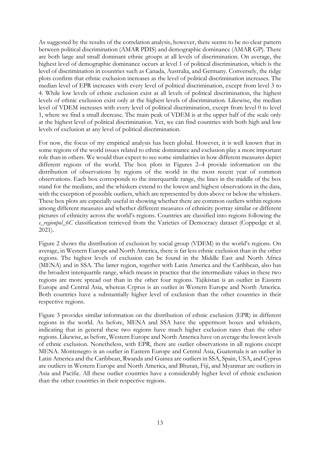As suggested by the results of the correlation analysis, however, there seems to be no clear pattern between political discrimination (AMAR PDIS) and demographic dominance (AMAR GP). There are both large and small dominant ethnic groups at all levels of discrimination. On average, the highest level of demographic dominance occurs at level 1 of political discrimination, which is the level of discrimination in countries such as Canada, Australia, and Germany. Conversely, the ridge plots confirm that ethnic exclusion increases as the level of political discrimination increases. The median level of EPR increases with every level of political discrimination, except from level 3 to 4. While low levels of ethnic exclusion exist at all levels of political discrimination, the highest levels of ethnic exclusion exist only at the highest levels of discrimination. Likewise, the median level of VDEM increases with every level of political discrimination, except from level 0 to level 1, where we find a small decrease. The main peak of VDEM is at the upper half of the scale only at the highest level of political discrimination. Yet, we can find countries with both high and low levels of exclusion at any level of political discrimination.

For now, the focus of my empirical analysis has been global. However, it is well known that in some regions of the world issues related to ethnic dominance and exclusion play a more important role than in others. We would thus expect to see some similarities in how different measures depict different regions of the world. The box plots in Figures 2–4 provide information on the distribution of observations by regions of the world in the most recent year of common observations. Each box corresponds to the interquartile range, the lines in the middle of the box stand for the medians, and the whiskers extend to the lowest and highest observations in the data, with the exception of possible outliers, which are represented by dots above or below the whiskers. These box plots are especially useful in showing whether there are common outliers within regions among different measures and whether different measures of ethnicity portray similar or different pictures of ethnicity across the world's regions. Countries are classified into regions following the *e\_regionpol\_6C* classification retrieved from the Varieties of Democracy dataset (Coppedge et al. 2021).

Figure 2 shows the distribution of exclusion by social group (VDEM) in the world's regions. On average, in Western Europe and North America, there is far less ethnic exclusion than in the other regions. The highest levels of exclusion can be found in the Middle East and North Africa (MENA) and in SSA. The latter region, together with Latin America and the Caribbean, also has the broadest interquartile range, which means in practice that the intermediate values in these two regions are more spread out than in the other four regions. Tajikistan is an outlier in Eastern Europe and Central Asia, whereas Cyprus is an outlier in Western Europe and North America. Both countries have a substantially higher level of exclusion than the other countries in their respective regions.

Figure 3 provides similar information on the distribution of ethnic exclusion (EPR) in different regions in the world. As before, MENA and SSA have the uppermost boxes and whiskers, indicating that in general these two regions have much higher exclusion rates than the other regions. Likewise, as before, Western Europe and North America have on average the lowest levels of ethnic exclusion. Nonetheless, with EPR, there are outlier observations in all regions except MENA. Montenegro is an outlier in Eastern Europe and Central Asia, Guatemala is an outlier in Latin America and the Caribbean, Rwanda and Guinea are outliers in SSA, Spain, USA, and Cyprus are outliers in Western Europe and North America, and Bhutan, Fiji, and Myanmar are outliers in Asia and Pacific. All these outlier countries have a considerably higher level of ethnic exclusion than the other countries in their respective regions.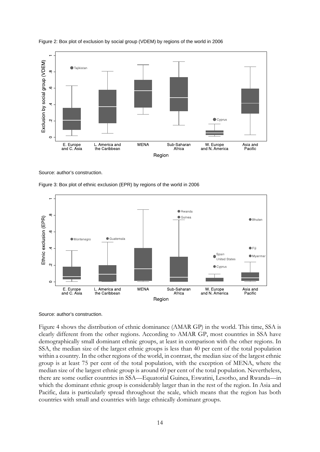

Figure 2: Box plot of exclusion by social group (VDEM) by regions of the world in 2006

Source: author's construction.





Source: author's construction.

Figure 4 shows the distribution of ethnic dominance (AMAR GP) in the world. This time, SSA is clearly different from the other regions. According to AMAR GP, most countries in SSA have demographically small dominant ethnic groups, at least in comparison with the other regions. In SSA, the median size of the largest ethnic groups is less than 40 per cent of the total population within a country. In the other regions of the world, in contrast, the median size of the largest ethnic group is at least 75 per cent of the total population, with the exception of MENA, where the median size of the largest ethnic group is around 60 per cent of the total population. Nevertheless, there are some outlier countries in SSA—Equatorial Guinea, Eswatini, Lesotho, and Rwanda—in which the dominant ethnic group is considerably larger than in the rest of the region. In Asia and Pacific, data is particularly spread throughout the scale, which means that the region has both countries with small and countries with large ethnically dominant groups.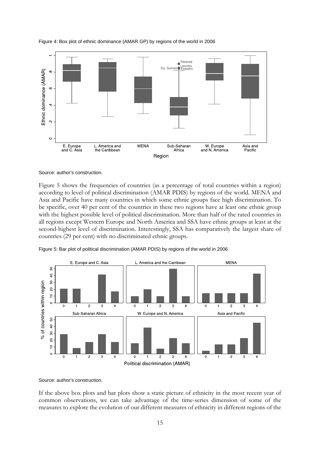

Figure 4: Box plot of ethnic dominance (AMAR GP) by regions of the world in 2006

#### Source: author's construction.

Figure 5 shows the frequencies of countries (as a percentage of total countries within a region) according to level of political discrimination (AMAR PDIS) by regions of the world. MENA and Asia and Pacific have many countries in which some ethnic groups face high discrimination. To be specific, over 40 per cent of the countries in these two regions have at least one ethnic group with the highest possible level of political discrimination. More than half of the rated countries in all regions except Western Europe and North America and SSA have ethnic groups at least at the second-highest level of discrimination. Interestingly, SSA has comparatively the largest share of countries (29 per cent) with no discriminated ethnic groups.





Source: author's construction.

If the above box plots and bar plots show a static picture of ethnicity in the most recent year of common observations, we can take advantage of the time-series dimension of some of the measures to explore the evolution of our different measures of ethnicity in different regions of the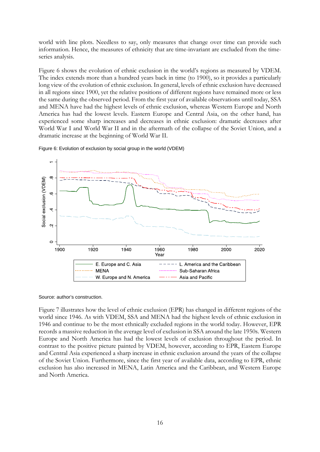world with line plots. Needless to say, only measures that change over time can provide such information. Hence, the measures of ethnicity that are time-invariant are excluded from the timeseries analysis.

Figure 6 shows the evolution of ethnic exclusion in the world's regions as measured by VDEM. The index extends more than a hundred years back in time (to 1900), so it provides a particularly long view of the evolution of ethnic exclusion. In general, levels of ethnic exclusion have decreased in all regions since 1900, yet the relative positions of different regions have remained more or less the same during the observed period. From the first year of available observations until today, SSA and MENA have had the highest levels of ethnic exclusion, whereas Western Europe and North America has had the lowest levels. Eastern Europe and Central Asia, on the other hand, has experienced some sharp increases and decreases in ethnic exclusion: dramatic decreases after World War I and World War II and in the aftermath of the collapse of the Soviet Union, and a dramatic increase at the beginning of World War II.



Figure 6: Evolution of exclusion by social group in the world (VDEM)

Source: author's construction.

Figure 7 illustrates how the level of ethnic exclusion (EPR) has changed in different regions of the world since 1946. As with VDEM, SSA and MENA had the highest levels of ethnic exclusion in 1946 and continue to be the most ethnically excluded regions in the world today. However, EPR records a massive reduction in the average level of exclusion in SSA around the late 1950s. Western Europe and North America has had the lowest levels of exclusion throughout the period. In contrast to the positive picture painted by VDEM, however, according to EPR, Eastern Europe and Central Asia experienced a sharp increase in ethnic exclusion around the years of the collapse of the Soviet Union. Furthermore, since the first year of available data, according to EPR, ethnic exclusion has also increased in MENA, Latin America and the Caribbean, and Western Europe and North America.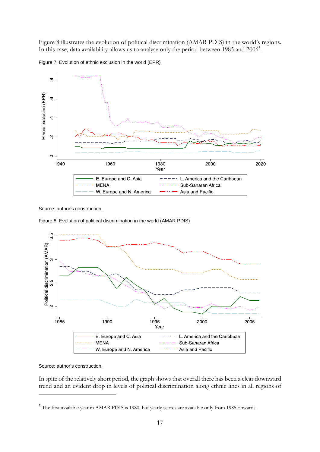Figure 8 illustrates the evolution of political discrimination (AMAR PDIS) in the world's regions. In this case, data availability allows us to analyse only the period between 1985 and 2006<sup>[3](#page-18-0)</sup>.





Source: author's construction.

Figure 8: Evolution of political discrimination in the world (AMAR PDIS)

![](_page_18_Figure_5.jpeg)

## Source: author's construction.

In spite of the relatively short period, the graph shows that overall there has been a clear downward trend and an evident drop in levels of political discrimination along ethnic lines in all regions of

<span id="page-18-0"></span><sup>&</sup>lt;sup>3</sup> The first available year in AMAR PDIS is 1980, but yearly scores are available only from 1985 onwards.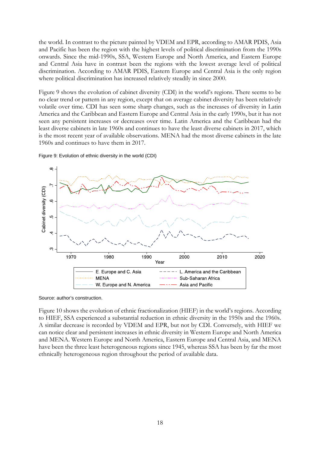the world. In contrast to the picture painted by VDEM and EPR, according to AMAR PDIS, Asia and Pacific has been the region with the highest levels of political discrimination from the 1990s onwards. Since the mid-1990s, SSA, Western Europe and North America, and Eastern Europe and Central Asia have in contrast been the regions with the lowest average level of political discrimination. According to AMAR PDIS, Eastern Europe and Central Asia is the only region where political discrimination has increased relatively steadily in since 2000.

Figure 9 shows the evolution of cabinet diversity (CDI) in the world's regions. There seems to be no clear trend or pattern in any region, except that on average cabinet diversity has been relatively volatile over time. CDI has seen some sharp changes, such as the increases of diversity in Latin America and the Caribbean and Eastern Europe and Central Asia in the early 1990s, but it has not seen any persistent increases or decreases over time. Latin America and the Caribbean had the least diverse cabinets in late 1960s and continues to have the least diverse cabinets in 2017, which is the most recent year of available observations. MENA had the most diverse cabinets in the late 1960s and continues to have them in 2017.

 $\infty$ Cabinet diversity (CDI)  $\circ$  $\mathfrak{g}$ 4  $\infty$  $2020$ 1970 1980 2000 1990 2010 Year L. America and the Caribbean E. Europe and C. Asia **MENA** Sub-Saharan Africa W. Europe and N. America Asia and Pacific

Figure 9: Evolution of ethnic diversity in the world (CDI)

Source: author's construction.

Figure 10 shows the evolution of ethnic fractionalization (HIEF) in the world's regions. According to HIEF, SSA experienced a substantial reduction in ethnic diversity in the 1950s and the 1960s. A similar decrease is recorded by VDEM and EPR, but not by CDI. Conversely, with HIEF we can notice clear and persistent increases in ethnic diversity in Western Europe and North America and MENA. Western Europe and North America, Eastern Europe and Central Asia, and MENA have been the three least heterogeneous regions since 1945, whereas SSA has been by far the most ethnically heterogeneous region throughout the period of available data.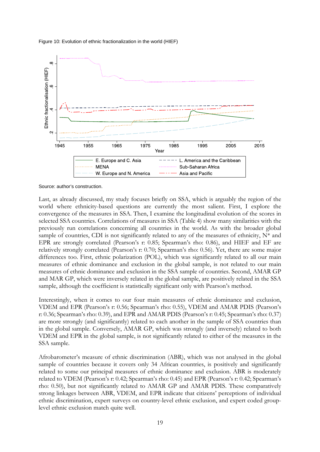Figure 10: Evolution of ethnic fractionalization in the world (HIEF)

![](_page_20_Figure_1.jpeg)

Source: author's construction.

Last, as already discussed, my study focuses briefly on SSA, which is arguably the region of the world where ethnicity-based questions are currently the most salient. First, I explore the convergence of the measures in SSA. Then, I examine the longitudinal evolution of the scores in selected SSA countries. Correlations of measures in SSA (Table 4) show many similarities with the previously run correlations concerning all countries in the world. As with the broader global sample of countries, CDI is not significantly related to any of the measures of ethnicity,  $N^*$  and EPR are strongly correlated (Pearson's r: 0.85; Spearman's rho: 0.86), and HIEF and EF are relatively strongly correlated (Pearson's r: 0.70; Spearman's rho: 0.56). Yet, there are some major differences too. First, ethnic polarization (POL), which was significantly related to all our main measures of ethnic dominance and exclusion in the global sample, is not related to our main measures of ethnic dominance and exclusion in the SSA sample of countries. Second, AMAR GP and MAR GP, which were inversely related in the global sample, are positively related in the SSA sample, although the coefficient is statistically significant only with Pearson's method.

Interestingly, when it comes to our four main measures of ethnic dominance and exclusion, VDEM and EPR (Pearson's r: 0.56; Spearman's rho: 0.55), VDEM and AMAR PDIS (Pearson's r: 0.36; Spearman's rho: 0.39), and EPR and AMAR PDIS (Pearson's r: 0.45; Spearman's rho: 0.37) are more strongly (and significantly) related to each another in the sample of SSA countries than in the global sample. Conversely, AMAR GP, which was strongly (and inversely) related to both VDEM and EPR in the global sample, is not significantly related to either of the measures in the SSA sample.

Afrobarometer's measure of ethnic discrimination (ABR), which was not analysed in the global sample of countries because it covers only 34 African countries, is positively and significantly related to some our principal measures of ethnic dominance and exclusion. ABR is moderately related to VDEM (Pearson's r: 0.42; Spearman's rho: 0.45) and EPR (Pearson's r: 0.42; Spearman's rho: 0.50), but not significantly related to AMAR GP and AMAR PDIS. These comparatively strong linkages between ABR, VDEM, and EPR indicate that citizens' perceptions of individual ethnic discrimination, expert surveys on country-level ethnic exclusion, and expert coded grouplevel ethnic exclusion match quite well.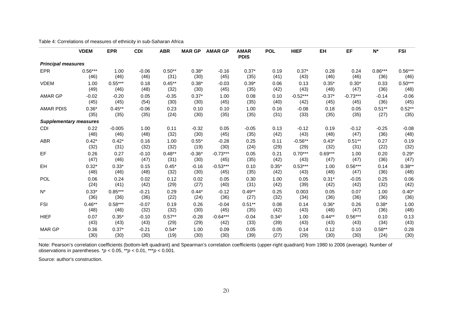|                               | <b>VDEM</b> | <b>EPR</b> | <b>CDI</b> | <b>ABR</b> | <b>MAR GP</b> | <b>AMAR GP</b> | <b>AMAR</b><br><b>PDIS</b> | <b>POL</b> | <b>HIEF</b> | EH        | EF         | $N^*$     | <b>FSI</b> |
|-------------------------------|-------------|------------|------------|------------|---------------|----------------|----------------------------|------------|-------------|-----------|------------|-----------|------------|
| <b>Principal measures</b>     |             |            |            |            |               |                |                            |            |             |           |            |           |            |
| <b>EPR</b>                    | $0.56***$   | 1.00       | $-0.06$    | $0.50**$   | $0.38*$       | $-0.16$        | $0.37*$                    | 0.19       | $0.37*$     | 0.28      | 0.24       | $0.86***$ | $0.56***$  |
|                               | (46)        | (46)       | (46)       | (31)       | (30)          | (45)           | (35)                       | (41)       | (43)        | (46)      | (46)       | (36)      | (46)       |
| <b>VDEM</b>                   | 1.00        | $0.55***$  | 0.18       | $0.45***$  | $0.38*$       | $-0.03$        | $0.39*$                    | 0.06       | 0.13        | $0.35*$   | $0.30*$    | 0.33      | $0.50***$  |
|                               | (49)        | (46)       | (48)       | (32)       | (30)          | (45)           | (35)                       | (42)       | (43)        | (48)      | (47)       | (36)      | (48)       |
| AMAR GP                       | $-0.02$     | $-0.20$    | 0.05       | $-0.35$    | $0.37*$       | 1.00           | 0.08                       | 0.10       | $-0.52***$  | $-0.37*$  | $-0.73***$ | $-0.14$   | $-0.06$    |
|                               | (45)        | (45)       | (54)       | (30)       | (30)          | (45)           | (35)                       | (40)       | (42)        | (45)      | (45)       | (36)      | (45)       |
| <b>AMAR PDIS</b>              | $0.36*$     | $0.45***$  | $-0.06$    | 0.23       | 0.10          | 0.10           | 1.00                       | 0.16       | $-0.08$     | 0.18      | 0.05       | $0.51***$ | $0.52**$   |
|                               | (35)        | (35)       | (35)       | (24)       | (30)          | (35)           | (35)                       | (31)       | (33)        | (35)      | (35)       | (27)      | (35)       |
| <b>Supplementary measures</b> |             |            |            |            |               |                |                            |            |             |           |            |           |            |
| <b>CDI</b>                    | 0.22        | $-0.005$   | 1.00       | 0.11       | $-0.32$       | 0.05           | $-0.05$                    | 0.13       | $-0.12$     | 0.19      | $-0.12$    | $-0.25$   | $-0.08$    |
|                               | (48)        | (46)       | (48)       | (32)       | (30)          | (45)           | (35)                       | (42)       | (43)        | (48)      | (47)       | (36)      | (48)       |
| <b>ABR</b>                    | $0.42*$     | $0.42*$    | 0.16       | 1.00       | $0.55*$       | $-0.28$        | 0.25                       | 0.11       | $-0.56**$   | $0.43*$   | $0.51**$   | 0.27      | 0.19       |
|                               | (32)        | (31)       | (32)       | (32)       | (19)          | (30)           | (24)                       | (29)       | (29)        | (32)      | (31)       | (22)      | (32)       |
| EF                            | 0.26        | 0.27       | $-0.10$    | $0.48**$   | $-0.36*$      | $-0.73***$     | 0.05                       | 0.21       | $0.70***$   | $0.69***$ | 1.00       | 0.20      | $0.29*$    |
|                               | (47)        | (46)       | (47)       | (31)       | (30)          | (45)           | (35)                       | (42)       | (43)        | (47)      | (47)       | (36)      | (47)       |
| EH                            | $0.32*$     | $0.33*$    | 0.15       | $0.45*$    | $-0.16$       | $-0.53***$     | 0.10                       | $0.35*$    | $0.53***$   | 1.00      | $0.56***$  | 0.14      | $0.38**$   |
|                               | (48)        | (46)       | (48)       | (32)       | (30)          | (45)           | (35)                       | (42)       | (43)        | (48)      | (47)       | (36)      | (48)       |
| <b>POL</b>                    | 0.06        | 0.24       | 0.02       | 0.12       | 0.02          | 0.05           | 0.30                       | 1.00       | 0.05        | $0.31*$   | $-0.05$    | 0.25      | 0.06       |
|                               | (24)        | (41)       | (42)       | (29)       | (27)          | (40)           | (31)                       | (42)       | (39)        | (42)      | (42)       | (32)      | (42)       |
| $N^*$                         | $0.33*$     | $0.85***$  | $-0.21$    | 0.29       | $0.44*$       | $-0.12$        | $0.49**$                   | 0.25       | 0.003       | 0.05      | 0.07       | 1.00      | $0.40*$    |
|                               | (36)        | (36)       | (36)       | (22)       | (24)          | (36)           | (27)                       | (32)       | (34)        | (36)      | (36)       | (36)      | (36)       |
| <b>FSI</b>                    | $0.46**$    | $0.58***$  | $-0.07$    | 0.19       | 0.26          | $-0.04$        | $0.51**$                   | 0.08       | 0.14        | $0.36*$   | 0.26       | $0.38*$   | 1.00       |
|                               | (48)        | (46)       | (32)       | (32)       | (30)          | (45)           | (35)                       | (42)       | (43)        | (48)      | (47)       | (36)      | (48)       |
| <b>HIEF</b>                   | 0.07        | $0.35*$    | $-0.10$    | $0.57**$   | $-0.28$       | $-0.64***$     | $-0.04$                    | $0.34*$    | 1.00        | $0.44***$ | $0.56***$  | 0.10      | 0.13       |
|                               | (43)        | (43)       | (43)       | (29)       | (29)          | (42)           | (33)                       | (39)       | (43)        | (43)      | (43)       | (34)      | (43)       |
| <b>MAR GP</b>                 | 0.36        | $0.37*$    | $-0.21$    | $0.54*$    | 1.00          | 0.09           | 0.05                       | 0.05       | 0.14        | 0.12      | 0.10       | $0.58**$  | 0.28       |
|                               | (30)        | (30)       | (30)       | (19)       | (30)          | (30)           | (39)                       | (27)       | (29)        | (30)      | (30)       | (24)      | (30)       |

Table 4: Correlations of measures of ethnicity in sub-Saharan Africa

Note: Pearson's correlation coefficients (bottom-left quadrant) and Spearman's correlation coefficients (upper-right quadrant) from 1980 to 2006 (average). Number of observations in parentheses. \**p* < 0.05, \*\**p* < 0.01, \*\*\**p* < 0.001.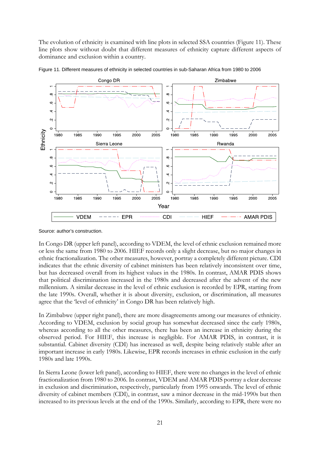The evolution of ethnicity is examined with line plots in selected SSA countries (Figure 11). These line plots show without doubt that different measures of ethnicity capture different aspects of dominance and exclusion within a country.

![](_page_22_Figure_1.jpeg)

Figure 11. Different measures of ethnicity in selected countries in sub-Saharan Africa from 1980 to 2006

Source: author's construction.

In Congo DR (upper left panel), according to VDEM, the level of ethnic exclusion remained more or less the same from 1980 to 2006. HIEF records only a slight decrease, but no major changes in ethnic fractionalization. The other measures, however, portray a completely different picture. CDI indicates that the ethnic diversity of cabinet ministers has been relatively inconsistent over time, but has decreased overall from its highest values in the 1980s. In contrast, AMAR PDIS shows that political discrimination increased in the 1980s and decreased after the advent of the new millennium. A similar decrease in the level of ethnic exclusion is recorded by EPR, starting from the late 1990s. Overall, whether it is about diversity, exclusion, or discrimination, all measures agree that the 'level of ethnicity' in Congo DR has been relatively high.

In Zimbabwe (upper right panel), there are more disagreements among our measures of ethnicity. According to VDEM, exclusion by social group has somewhat decreased since the early 1980s, whereas according to all the other measures, there has been an increase in ethnicity during the observed period. For HIEF, this increase is negligible. For AMAR PDIS, in contrast, it is substantial. Cabinet diversity (CDI) has increased as well, despite being relatively stable after an important increase in early 1980s. Likewise, EPR records increases in ethnic exclusion in the early 1980s and late 1990s.

In Sierra Leone (lower left panel), according to HIEF, there were no changes in the level of ethnic fractionalization from 1980 to 2006. In contrast, VDEM and AMAR PDIS portray a clear decrease in exclusion and discrimination, respectively, particularly from 1995 onwards. The level of ethnic diversity of cabinet members (CDI), in contrast, saw a minor decrease in the mid-1990s but then increased to its previous levels at the end of the 1990s. Similarly, according to EPR, there were no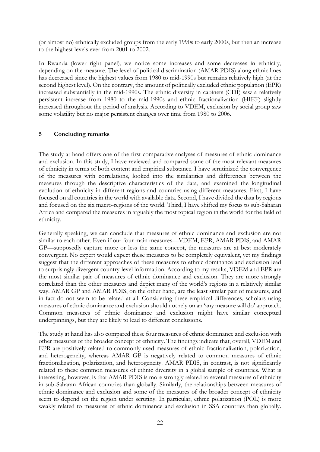(or almost no) ethnically excluded groups from the early 1990s to early 2000s, but then an increase to the highest levels ever from 2001 to 2002.

In Rwanda (lower right panel), we notice some increases and some decreases in ethnicity, depending on the measure. The level of political discrimination (AMAR PDIS) along ethnic lines has decreased since the highest values from 1980 to mid-1990s but remains relatively high (at the second highest level). On the contrary, the amount of politically excluded ethnic population (EPR) increased substantially in the mid-1990s. The ethnic diversity in cabinets (CDI) saw a relatively persistent increase from 1980 to the mid-1990s and ethnic fractionalization (HIEF) slightly increased throughout the period of analysis. According to VDEM, exclusion by social group saw some volatility but no major persistent changes over time from 1980 to 2006.

# **5 Concluding remarks**

The study at hand offers one of the first comparative analyses of measures of ethnic dominance and exclusion. In this study, I have reviewed and compared some of the most relevant measures of ethnicity in terms of both content and empirical substance. I have scrutinized the convergence of the measures with correlations, looked into the similarities and differences between the measures through the descriptive characteristics of the data, and examined the longitudinal evolution of ethnicity in different regions and countries using different measures. First, I have focused on all countries in the world with available data. Second, I have divided the data by regions and focused on the six macro-regions of the world. Third, I have shifted my focus to sub-Saharan Africa and compared the measures in arguably the most topical region in the world for the field of ethnicity.

Generally speaking, we can conclude that measures of ethnic dominance and exclusion are not similar to each other. Even if our four main measures—VDEM, EPR, AMAR PDIS, and AMAR GP—supposedly capture more or less the same concept, the measures are at best moderately convergent. No expert would expect these measures to be completely equivalent, yet my findings suggest that the different approaches of these measures to ethnic dominance and exclusion lead to surprisingly divergent country-level information. According to my results, VDEM and EPR are the most similar pair of measures of ethnic dominance and exclusion. They are more strongly correlated than the other measures and depict many of the world's regions in a relatively similar way. AMAR GP and AMAR PDIS, on the other hand, are the least similar pair of measures, and in fact do not seem to be related at all. Considering these empirical differences, scholars using measures of ethnic dominance and exclusion should not rely on an 'any measure will do' approach. Common measures of ethnic dominance and exclusion might have similar conceptual underpinnings, but they are likely to lead to different conclusions.

The study at hand has also compared these four measures of ethnic dominance and exclusion with other measures of the broader concept of ethnicity. The findings indicate that, overall, VDEM and EPR are positively related to commonly used measures of ethnic fractionalization, polarization, and heterogeneity, whereas AMAR GP is negatively related to common measures of ethnic fractionalization, polarization, and heterogeneity. AMAR PDIS, in contrast, is not significantly related to these common measures of ethnic diversity in a global sample of countries. What is interesting, however, is that AMAR PDIS is more strongly related to several measures of ethnicity in sub-Saharan African countries than globally. Similarly, the relationships between measures of ethnic dominance and exclusion and some of the measures of the broader concept of ethnicity seem to depend on the region under scrutiny. In particular, ethnic polarization (POL) is more weakly related to measures of ethnic dominance and exclusion in SSA countries than globally.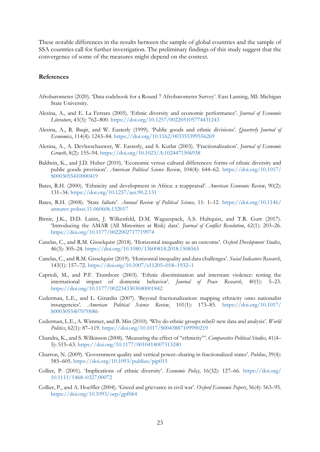These notable differences in the results between the sample of global countries and the sample of SSA countries call for further investigation. The preliminary findings of this study suggest that the convergence of some of the measures might depend on the context.

#### **References**

- Afrobarometer (2020). 'Data codebook for a Round 7 Afrobarometer Survey'. East Lansing, MI: Michigan State University.
- Alesina, A., and E. La Ferrara (2005). 'Ethnic diversity and economic performance'. *Journal of Economic Literature*, 43(3): 762–800.<https://doi.org/10.1257/002205105774431243>
- Alesina, A., R. Baqir, and W. Easterly (1999). 'Public goods and ethnic divisions'. *Quarterly Journal of Economics*, 114(4): 1243–84.<https://doi.org/10.1162/003355399556269>
- Alesina, A., A. Devleeschauwer, W. Easterly, and S. Kurlat (2003). 'Fractionalization'. *Journal of Economic Growth*, 8(2): 155–94.<https://doi.org/10.1023/A:1024471506938>
- Baldwin, K., and J.D. Huber (2010). 'Economic versus cultural differences: forms of ethnic diversity and public goods provision'. *American Political Science Review*, 104(4): 644–62. [https://doi.org/10.1017/](https://doi.org/10.1017/S0003055410000419) [S0003055410000419](https://doi.org/10.1017/S0003055410000419)
- Bates, R.H. (2000). 'Ethnicity and development in Africa: a reappraisal'. *American Economic Review*, 90(2): 131–34.<https://doi.org/10.1257/aer.90.2.131>
- Bates, R.H. (2008). 'State failure'. *Annual Review of Political Science*, 11: 1–12. [https://doi.org/10.1146/](https://doi.org/10.1146/annurev.polisci.11.060606.132017) [annurev.polisci.11.060606.132017](https://doi.org/10.1146/annurev.polisci.11.060606.132017)
- Birnir, J.K., D.D. Laitin, J. Wilkenfeld, D.M. Waguespack, A.S. Hultquist, and T.R. Gurr (2017). 'Introducing the AMAR (All Minorities at Risk) data'. *Journal of Conflict Resolution*, 62(1): 203–26. <https://doi.org/10.1177/0022002717719974>
- Canelas, C., and R.M. Gisselquist (2018). 'Horizontal inequality as an outcome'. *Oxford Development Studies*, 46(3): 305–24.<https://doi.org/10.1080/13600818.2018.1508565>
- Canelas, C., and R.M. Gisselquist (2019). 'Horizontal inequality and data challenges'. *Social Indicators Research*, 143(1): 157–72. [https://doi.org/10.1007/s11205–018–1932–1](https://doi.org/10.1007/s11205-018-1932-1)
- Caprioli, M., and P.F. Trumbore (2003). 'Ethnic discrimination and interstate violence: testing the international impact of domestic behavior'. *Journal of Peace Research*, 40(1): 5–23. <https://doi.org/10.1177/0022343303040001842>
- Cederman, L.E., and L. Girardin (2007). 'Beyond fractionalization: mapping ethnicity onto nationalist insurgencies'. *American Political Science Review*, 101(1): 173–85. [https://doi.org/10.1017/](https://doi.org/10.1017/S0003055407070086) [S0003055407070086](https://doi.org/10.1017/S0003055407070086)
- Cederman, L.E., A. Wimmer, and B. Min (2010). 'Why do ethnic groups rebel? new data and analysis'. *World Politics*, 62(1): 87–119.<https://doi.org/10.1017/S0043887109990219>
- Chandra, K., and S. Wilkinson (2008). 'Measuring the effect of "ethnicity"'. *Comparative Political Studies*, 41(4– 5): 515–63.<https://doi.org/10.1177/0010414007313240>
- Charron, N. (2009). 'Government quality and vertical power–sharing in fractionalized states'. *Publius*, 39(4): 585–605.<https://doi.org/10.1093/publius/pjp015>
- Collier, P. (2001). 'Implications of ethnic diversity'. *Economic Policy*, 16(32): 127–66. [https://doi.org/](https://doi.org/10.1111/1468%E2%80%930327.00072) [10.1111/1468–0327.00072](https://doi.org/10.1111/1468%E2%80%930327.00072)
- Collier, P., and A. Hoeffler (2004). 'Greed and grievance in civil war'. *Oxford Economic Papers*, 56(4): 563–95. <https://doi.org/10.1093/oep/gpf064>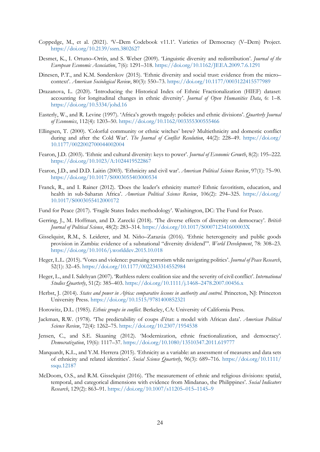- Coppedge, M., et al. (2021). 'V–Dem Codebook v11.1'. Varieties of Democracy (V–Dem) Project. <https://doi.org/10.2139/ssrn.3802627>
- Desmet, K., I. Ortuno–Ortín, and S. Weber (2009). 'Linguistic diversity and redistribution'. *Journal of the European Economic Association*, 7(6): 1291–318.<https://doi.org/10.1162/JEEA.2009.7.6.1291>
- Dinesen, P.T., and K.M. Sønderskov (2015). 'Ethnic diversity and social trust: evidence from the micro– context'. *American Sociological Review*, 80(3): 550–73.<https://doi.org/10.1177/0003122415577989>
- Drazanova, L. (2020). 'Introducing the Historical Index of Ethnic Fractionalization (HIEF) dataset: accounting for longitudinal changes in ethnic diversity'. *Journal of Open Humanities Data*, 6: 1–8. <https://doi.org/10.5334/johd.16>
- Easterly, W., and R. Levine (1997). 'Africa's growth tragedy: policies and ethnic divisions'. *Quarterly Journal of Economics*, 112(4): 1203–50.<https://doi.org/10.1162/003355300555466>
- Ellingsen, T. (2000). 'Colorful community or ethnic witches' brew? Multiethnicity and domestic conflict during and after the Cold War'. *The Journal of Conflict Resolution*, 44(2): 228–49. [https://doi.org/](https://doi.org/10.1177/0022002700044002004) [10.1177/0022002700044002004](https://doi.org/10.1177/0022002700044002004)
- Fearon, J.D. (2003). 'Ethnic and cultural diversity: keys to power'. *Journal of Economic Growth*, 8(2): 195–222. <https://doi.org/10.1023/A:1024419522867>
- Fearon, J.D., and D.D. Laitin (2003). 'Ethnicity and civil war'. *American Political Science Review*, 97(1): 75–90. <https://doi.org/10.1017/S0003055403000534>
- Franck, R., and I. Rainer (2012). 'Does the leader's ethnicity matter? Ethnic favoritism, education, and health in sub-Saharan Africa'. *American Political Science Review*, 106(2): 294–325. [https://doi.org/](https://doi.org/10.1017/S0003055412000172) [10.1017/S0003055412000172](https://doi.org/10.1017/S0003055412000172)
- Fund for Peace (2017). 'Fragile States Index methodology'. Washington, DC: The Fund for Peace.
- Gerring, J., M. Hoffman, and D. Zarecki (2018). 'The diverse effects of diversity on democracy'. *British Journal of Political Science*, 48(2): 283–314.<https://doi.org/10.1017/S000712341600003X>
- Gisselquist, R.M., S. Leiderer, and M. Niño–Zarazúa (2016). 'Ethnic heterogeneity and public goods provision in Zambia: evidence of a subnational "diversity dividend"'. *World Development*, 78: 308–23. <https://doi.org/10.1016/j.worlddev.2015.10.018>
- Heger, L.L. (2015). 'Votes and violence: pursuing terrorism while navigating politics'. *Journal of Peace Research*, 52(1): 32–45.<https://doi.org/10.1177/0022343314552984>
- Heger, L., and I. Salehyan (2007). 'Ruthless rulers: coalition size and the severity of civil conflict'. *International Studies Quarterly*, 51(2): 385–403. [https://doi.org/10.1111/j.1468–2478.2007.00456.x](https://doi.org/10.1111/j.1468-2478.2007.00456.x)
- Herbst, J. (2014). *States and power in Africa: comparative lessons in authority and control*. Princeton, NJ: Princeton University Press.<https://doi.org/10.1515/9781400852321>
- Horowitz, D.L. (1985). *Ethnic groups in conflict*. Berkeley, CA: University of California Press.
- Jackman, R.W. (1978). 'The predictability of coups d'état: a model with African data'. *American Political Science Review*, 72(4): 1262–75.<https://doi.org/10.2307/1954538>
- Jensen, C., and S.E. Skaaning (2012). 'Modernization, ethnic fractionalization, and democracy'. *Democratization*, 19(6): 1117–37.<https://doi.org/10.1080/13510347.2011.619777>
- Marquardt, K.L., and Y.M. Herrera (2015). 'Ethnicity as a variable: an assessment of measures and data sets of ethnicity and related identities'. *Social Science Quarterly*, 96(3): 689–716. [https://doi.org/10.1111/](https://doi.org/10.1111/ssqu.12187) [ssqu.12187](https://doi.org/10.1111/ssqu.12187)
- McDoom, O.S., and R.M. Gisselquist (2016). 'The measurement of ethnic and religious divisions: spatial, temporal, and categorical dimensions with evidence from Mindanao, the Philippines'. *Social Indicators Research*, 129(2): 863–91. [https://doi.org/10.1007/s11205–015–1145–9](https://doi.org/10.1007/s11205-015-1145-9)